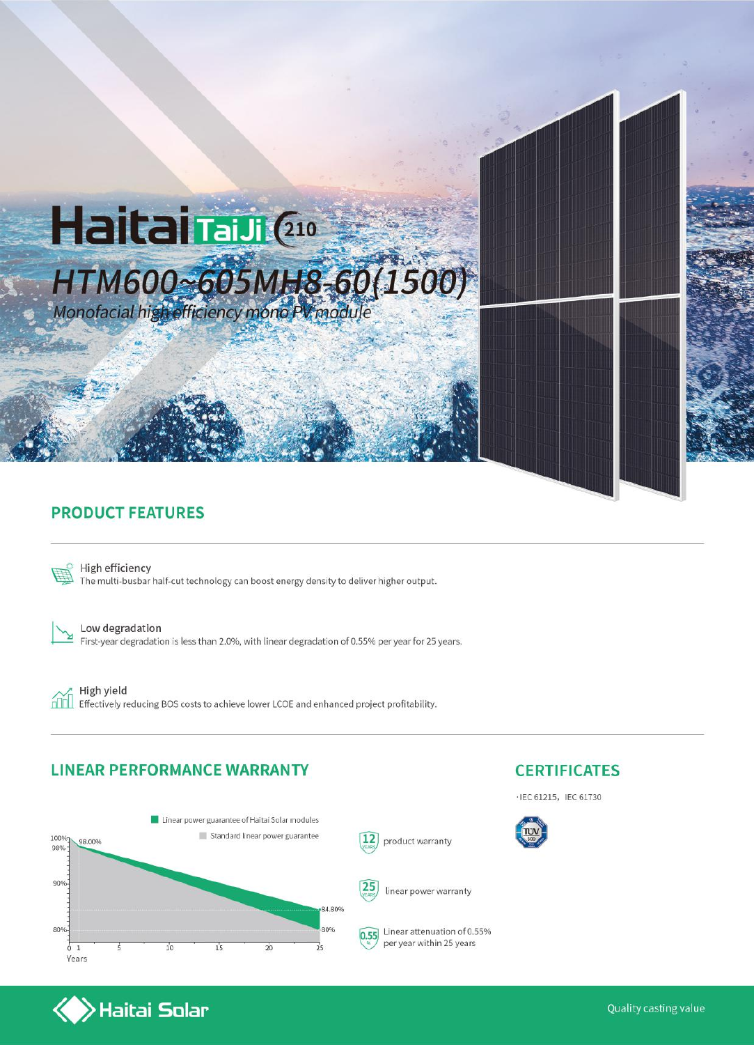

### **PRODUCT FEATURES**



High efficiency The multi-busbar half-cut technology can boost energy density to deliver higher output.

Low degradation First-year degradation is less than 2.0%, with linear degradation of 0.55% per year for 25 years.

ńm

High yield Effectively reducing BOS costs to achieve lower LCOE and enhanced project profitability.

#### **LINEAR PERFORMANCE WARRANTY**



### **CERTIFICATES**

· IEC 61215, IEC 61730